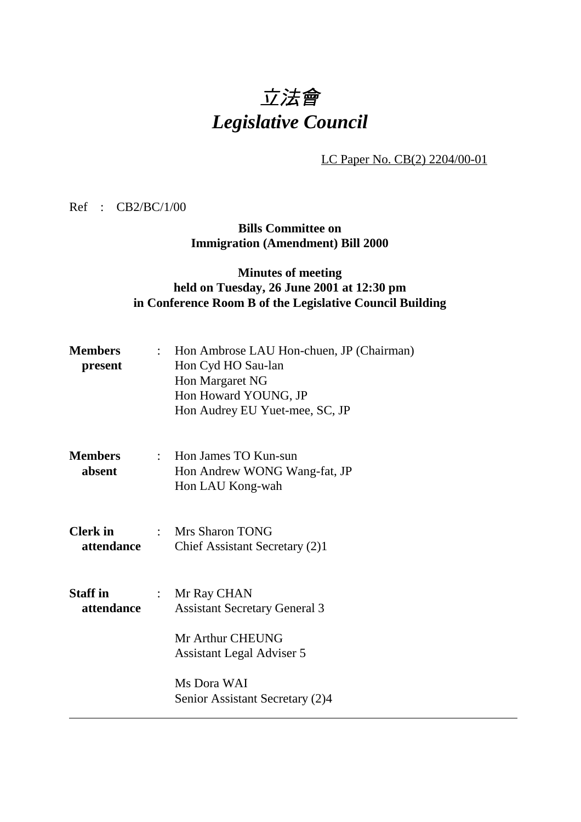## 立法會 *Legislative Council*

LC Paper No. CB(2) 2204/00-01

Ref : CB2/BC/1/00

**Bills Committee on Immigration (Amendment) Bill 2000**

## **Minutes of meeting held on Tuesday, 26 June 2001 at 12:30 pm in Conference Room B of the Legislative Council Building**

| Hon Margaret NG<br>Hon Howard YOUNG, JP<br>Hon Audrey EU Yuet-mee, SC, JP                                                                                                           |
|-------------------------------------------------------------------------------------------------------------------------------------------------------------------------------------|
| : Hon James TO Kun-sun<br>Hon Andrew WONG Wang-fat, JP<br>Hon LAU Kong-wah                                                                                                          |
| : Mrs Sharon TONG<br>Chief Assistant Secretary (2)1                                                                                                                                 |
| Mr Ray CHAN<br>$\mathbb{R}^{\mathbb{Z}}$<br><b>Assistant Secretary General 3</b><br>Mr Arthur CHEUNG<br>Assistant Legal Adviser 5<br>Ms Dora WAI<br>Senior Assistant Secretary (2)4 |
|                                                                                                                                                                                     |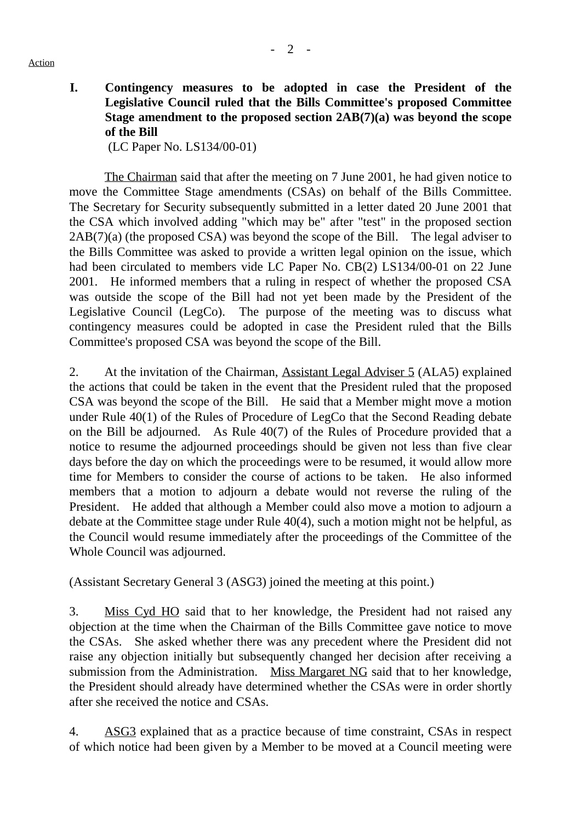Action

**I. Contingency measures to be adopted in case the President of the Legislative Council ruled that the Bills Committee's proposed Committee Stage amendment to the proposed section 2AB(7)(a) was beyond the scope of the Bill**

(LC Paper No. LS134/00-01)

The Chairman said that after the meeting on 7 June 2001, he had given notice to move the Committee Stage amendments (CSAs) on behalf of the Bills Committee. The Secretary for Security subsequently submitted in a letter dated 20 June 2001 that the CSA which involved adding "which may be" after "test" in the proposed section 2AB(7)(a) (the proposed CSA) was beyond the scope of the Bill. The legal adviser to the Bills Committee was asked to provide a written legal opinion on the issue, which had been circulated to members vide LC Paper No. CB(2) LS134/00-01 on 22 June 2001. He informed members that a ruling in respect of whether the proposed CSA was outside the scope of the Bill had not yet been made by the President of the Legislative Council (LegCo). The purpose of the meeting was to discuss what contingency measures could be adopted in case the President ruled that the Bills Committee's proposed CSA was beyond the scope of the Bill.

2. At the invitation of the Chairman, Assistant Legal Adviser 5 (ALA5) explained the actions that could be taken in the event that the President ruled that the proposed CSA was beyond the scope of the Bill. He said that a Member might move a motion under Rule 40(1) of the Rules of Procedure of LegCo that the Second Reading debate on the Bill be adjourned. As Rule 40(7) of the Rules of Procedure provided that a notice to resume the adjourned proceedings should be given not less than five clear days before the day on which the proceedings were to be resumed, it would allow more time for Members to consider the course of actions to be taken. He also informed members that a motion to adjourn a debate would not reverse the ruling of the President. He added that although a Member could also move a motion to adjourn a debate at the Committee stage under Rule 40(4), such a motion might not be helpful, as the Council would resume immediately after the proceedings of the Committee of the Whole Council was adjourned.

(Assistant Secretary General 3 (ASG3) joined the meeting at this point.)

3. Miss Cyd HO said that to her knowledge, the President had not raised any objection at the time when the Chairman of the Bills Committee gave notice to move the CSAs. She asked whether there was any precedent where the President did not raise any objection initially but subsequently changed her decision after receiving a submission from the Administration. Miss Margaret NG said that to her knowledge, the President should already have determined whether the CSAs were in order shortly after she received the notice and CSAs.

4. ASG3 explained that as a practice because of time constraint, CSAs in respect of which notice had been given by a Member to be moved at a Council meeting were